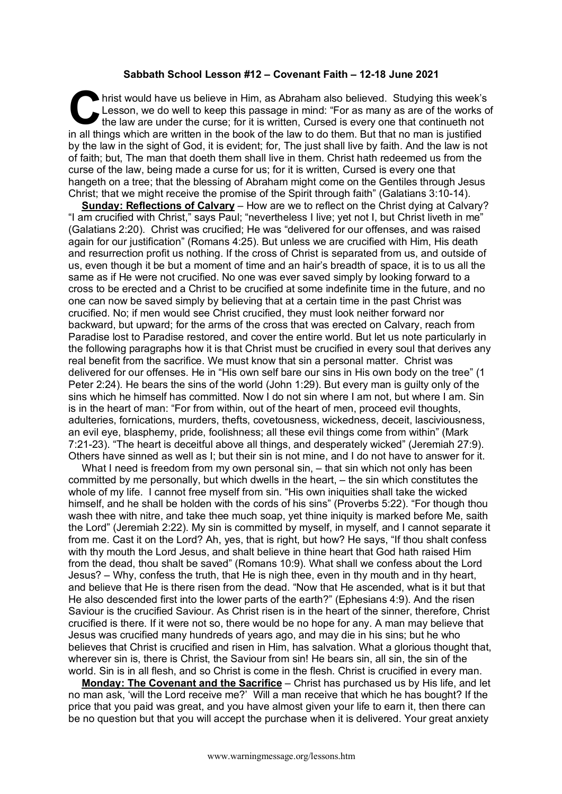## **Sabbath School Lesson #12 – Covenant Faith – 12-18 June 2021**

hrist would have us believe in Him, as Abraham also believed. Studying this week's Lesson, we do well to keep this passage in mind: "For as many as are of the works of the law are under the curse; for it is written, Cursed is every one that continueth not in all things which are written in the book of the law to do them. But that no man is justified by the law in the sight of God, it is evident; for, The just shall live by faith. And the law is not of faith; but, The man that doeth them shall live in them. Christ hath redeemed us from the curse of the law, being made a curse for us; for it is written, Cursed is every one that hangeth on a tree; that the blessing of Abraham might come on the Gentiles through Jesus Christ; that we might receive the promise of the Spirit through faith" (Galatians 3:10-14). **C** Le

**Sunday: Reflections of Calvary** – How are we to reflect on the Christ dying at Calvary? "I am crucified with Christ," says Paul; "nevertheless I live; yet not I, but Christ liveth in me" (Galatians 2:20). Christ was crucified; He was "delivered for our offenses, and was raised again for our justification" (Romans 4:25). But unless we are crucified with Him, His death and resurrection profit us nothing. If the cross of Christ is separated from us, and outside of us, even though it be but a moment of time and an hair's breadth of space, it is to us all the same as if He were not crucified. No one was ever saved simply by looking forward to a cross to be erected and a Christ to be crucified at some indefinite time in the future, and no one can now be saved simply by believing that at a certain time in the past Christ was crucified. No; if men would see Christ crucified, they must look neither forward nor backward, but upward; for the arms of the cross that was erected on Calvary, reach from Paradise lost to Paradise restored, and cover the entire world. But let us note particularly in the following paragraphs how it is that Christ must be crucified in every soul that derives any real benefit from the sacrifice. We must know that sin a personal matter. Christ was delivered for our offenses. He in "His own self bare our sins in His own body on the tree" (1 Peter 2:24). He bears the sins of the world (John 1:29). But every man is guilty only of the sins which he himself has committed. Now I do not sin where I am not, but where I am. Sin is in the heart of man: "For from within, out of the heart of men, proceed evil thoughts, adulteries, fornications, murders, thefts, covetousness, wickedness, deceit, lasciviousness, an evil eye, blasphemy, pride, foolishness; all these evil things come from within" (Mark 7:21-23). "The heart is deceitful above all things, and desperately wicked" (Jeremiah 27:9). Others have sinned as well as I; but their sin is not mine, and I do not have to answer for it.

What I need is freedom from my own personal sin, – that sin which not only has been committed by me personally, but which dwells in the heart, – the sin which constitutes the whole of my life. I cannot free myself from sin. "His own iniquities shall take the wicked himself, and he shall be holden with the cords of his sins" (Proverbs 5:22). "For though thou wash thee with nitre, and take thee much soap, yet thine iniquity is marked before Me, saith the Lord" (Jeremiah 2:22). My sin is committed by myself, in myself, and I cannot separate it from me. Cast it on the Lord? Ah, yes, that is right, but how? He says, "If thou shalt confess with thy mouth the Lord Jesus, and shalt believe in thine heart that God hath raised Him from the dead, thou shalt be saved" (Romans 10:9). What shall we confess about the Lord Jesus? – Why, confess the truth, that He is nigh thee, even in thy mouth and in thy heart, and believe that He is there risen from the dead. "Now that He ascended, what is it but that He also descended first into the lower parts of the earth?" (Ephesians 4:9). And the risen Saviour is the crucified Saviour. As Christ risen is in the heart of the sinner, therefore, Christ crucified is there. If it were not so, there would be no hope for any. A man may believe that Jesus was crucified many hundreds of years ago, and may die in his sins; but he who believes that Christ is crucified and risen in Him, has salvation. What a glorious thought that, wherever sin is, there is Christ, the Saviour from sin! He bears sin, all sin, the sin of the world. Sin is in all flesh, and so Christ is come in the flesh. Christ is crucified in every man.

**Monday: The Covenant and the Sacrifice** – Christ has purchased us by His life, and let no man ask, 'will the Lord receive me?' Will a man receive that which he has bought? If the price that you paid was great, and you have almost given your life to earn it, then there can be no question but that you will accept the purchase when it is delivered. Your great anxiety